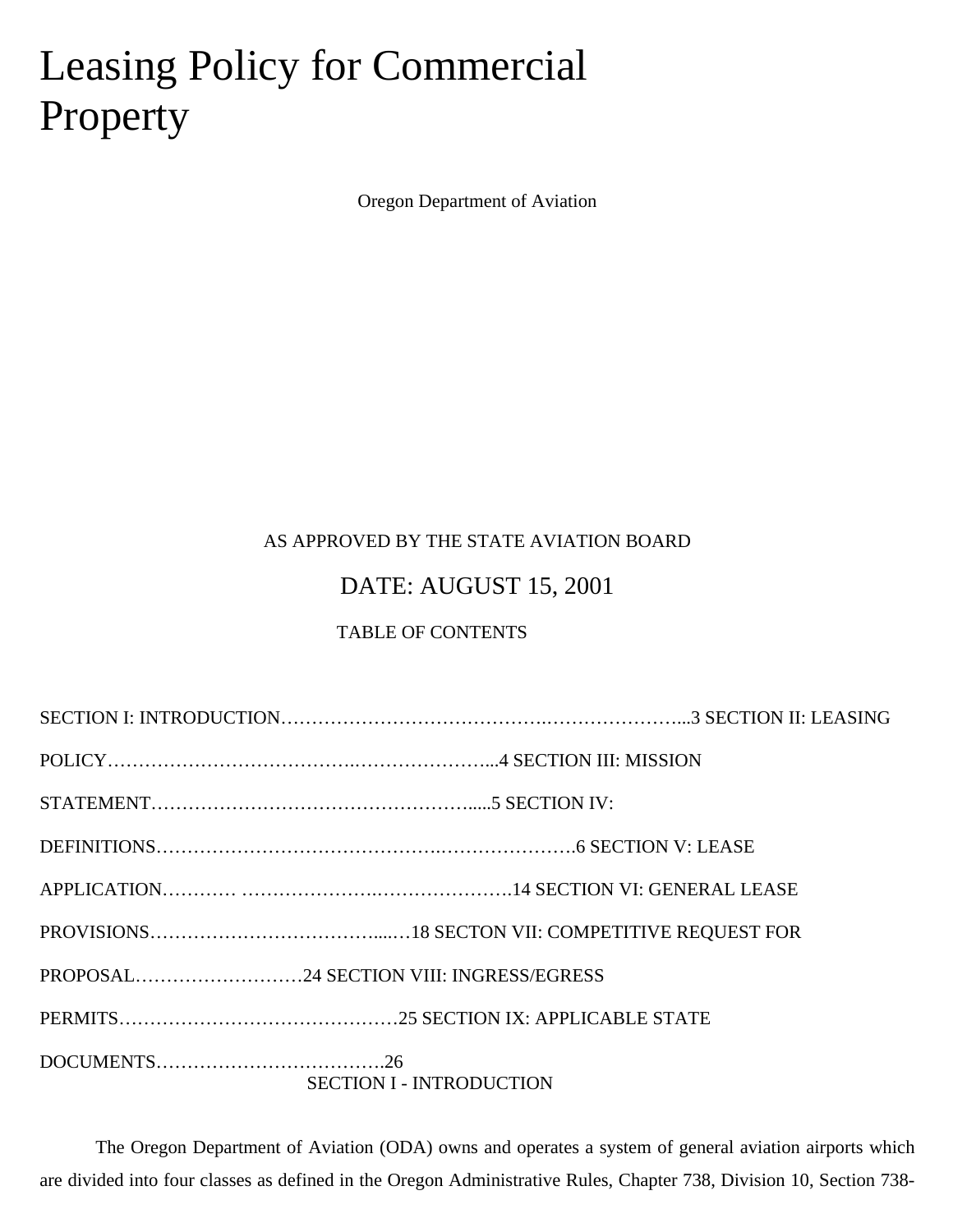# Leasing Policy for Commercial Property

Oregon Department of Aviation

## AS APPROVED BY THE STATE AVIATION BOARD

## DATE: AUGUST 15, 2001

## TABLE OF CONTENTS

| PROPOSAL24 SECTION VIII: INGRESS/EGRESS |
|-----------------------------------------|
|                                         |
| <b>SECTION I - INTRODUCTION</b>         |

The Oregon Department of Aviation (ODA) owns and operates a system of general aviation airports which are divided into four classes as defined in the Oregon Administrative Rules, Chapter 738, Division 10, Section 738-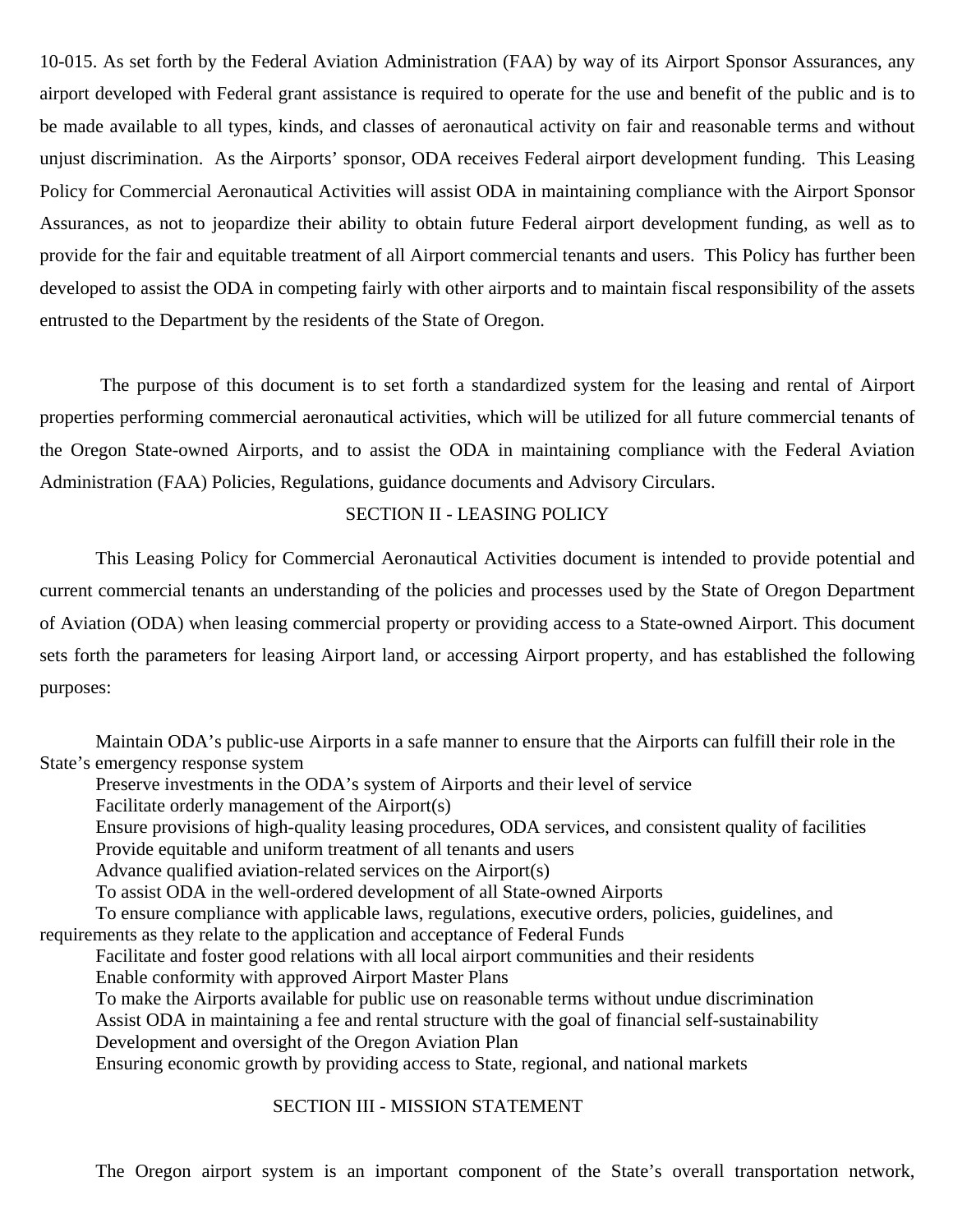10-015. As set forth by the Federal Aviation Administration (FAA) by way of its Airport Sponsor Assurances, any airport developed with Federal grant assistance is required to operate for the use and benefit of the public and is to be made available to all types, kinds, and classes of aeronautical activity on fair and reasonable terms and without unjust discrimination. As the Airports' sponsor, ODA receives Federal airport development funding. This Leasing Policy for Commercial Aeronautical Activities will assist ODA in maintaining compliance with the Airport Sponsor Assurances, as not to jeopardize their ability to obtain future Federal airport development funding, as well as to provide for the fair and equitable treatment of all Airport commercial tenants and users. This Policy has further been developed to assist the ODA in competing fairly with other airports and to maintain fiscal responsibility of the assets entrusted to the Department by the residents of the State of Oregon.

The purpose of this document is to set forth a standardized system for the leasing and rental of Airport properties performing commercial aeronautical activities, which will be utilized for all future commercial tenants of the Oregon State-owned Airports, and to assist the ODA in maintaining compliance with the Federal Aviation Administration (FAA) Policies, Regulations, guidance documents and Advisory Circulars.

### SECTION II - LEASING POLICY

This Leasing Policy for Commercial Aeronautical Activities document is intended to provide potential and current commercial tenants an understanding of the policies and processes used by the State of Oregon Department of Aviation (ODA) when leasing commercial property or providing access to a State-owned Airport. This document sets forth the parameters for leasing Airport land, or accessing Airport property, and has established the following purposes:

Maintain ODA's public-use Airports in a safe manner to ensure that the Airports can fulfill their role in the State's emergency response system

Preserve investments in the ODA's system of Airports and their level of service

Facilitate orderly management of the Airport(s)

Ensure provisions of high-quality leasing procedures, ODA services, and consistent quality of facilities

Provide equitable and uniform treatment of all tenants and users

Advance qualified aviation-related services on the Airport(s)

To assist ODA in the well-ordered development of all State-owned Airports

To ensure compliance with applicable laws, regulations, executive orders, policies, guidelines, and requirements as they relate to the application and acceptance of Federal Funds

Facilitate and foster good relations with all local airport communities and their residents Enable conformity with approved Airport Master Plans

To make the Airports available for public use on reasonable terms without undue discrimination Assist ODA in maintaining a fee and rental structure with the goal of financial self-sustainability Development and oversight of the Oregon Aviation Plan

Ensuring economic growth by providing access to State, regional, and national markets

## SECTION III - MISSION STATEMENT

The Oregon airport system is an important component of the State's overall transportation network,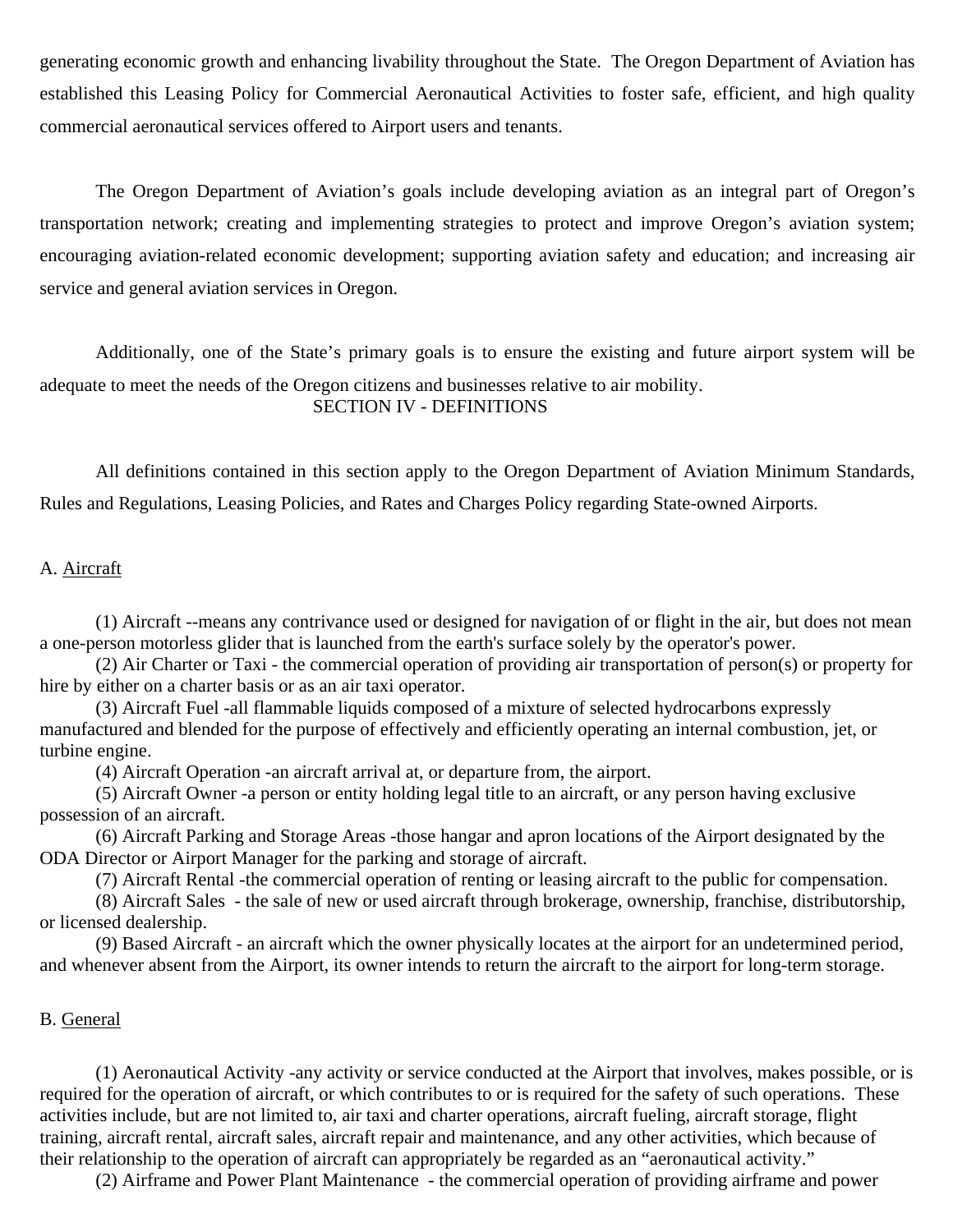generating economic growth and enhancing livability throughout the State. The Oregon Department of Aviation has established this Leasing Policy for Commercial Aeronautical Activities to foster safe, efficient, and high quality commercial aeronautical services offered to Airport users and tenants.

The Oregon Department of Aviation's goals include developing aviation as an integral part of Oregon's transportation network; creating and implementing strategies to protect and improve Oregon's aviation system; encouraging aviation-related economic development; supporting aviation safety and education; and increasing air service and general aviation services in Oregon.

Additionally, one of the State's primary goals is to ensure the existing and future airport system will be adequate to meet the needs of the Oregon citizens and businesses relative to air mobility. SECTION IV - DEFINITIONS

All definitions contained in this section apply to the Oregon Department of Aviation Minimum Standards, Rules and Regulations, Leasing Policies, and Rates and Charges Policy regarding State-owned Airports.

### A. Aircraft

(1) Aircraft --means any contrivance used or designed for navigation of or flight in the air, but does not mean a one-person motorless glider that is launched from the earth's surface solely by the operator's power.

(2) Air Charter or Taxi - the commercial operation of providing air transportation of person(s) or property for hire by either on a charter basis or as an air taxi operator.

(3) Aircraft Fuel -all flammable liquids composed of a mixture of selected hydrocarbons expressly manufactured and blended for the purpose of effectively and efficiently operating an internal combustion, jet, or turbine engine.

(4) Aircraft Operation -an aircraft arrival at, or departure from, the airport.

(5) Aircraft Owner -a person or entity holding legal title to an aircraft, or any person having exclusive possession of an aircraft.

(6) Aircraft Parking and Storage Areas -those hangar and apron locations of the Airport designated by the ODA Director or Airport Manager for the parking and storage of aircraft.

(7) Aircraft Rental -the commercial operation of renting or leasing aircraft to the public for compensation.

(8) Aircraft Sales - the sale of new or used aircraft through brokerage, ownership, franchise, distributorship, or licensed dealership.

(9) Based Aircraft - an aircraft which the owner physically locates at the airport for an undetermined period, and whenever absent from the Airport, its owner intends to return the aircraft to the airport for long-term storage.

## B. General

(1) Aeronautical Activity -any activity or service conducted at the Airport that involves, makes possible, or is required for the operation of aircraft, or which contributes to or is required for the safety of such operations. These activities include, but are not limited to, air taxi and charter operations, aircraft fueling, aircraft storage, flight training, aircraft rental, aircraft sales, aircraft repair and maintenance, and any other activities, which because of their relationship to the operation of aircraft can appropriately be regarded as an "aeronautical activity."

(2) Airframe and Power Plant Maintenance - the commercial operation of providing airframe and power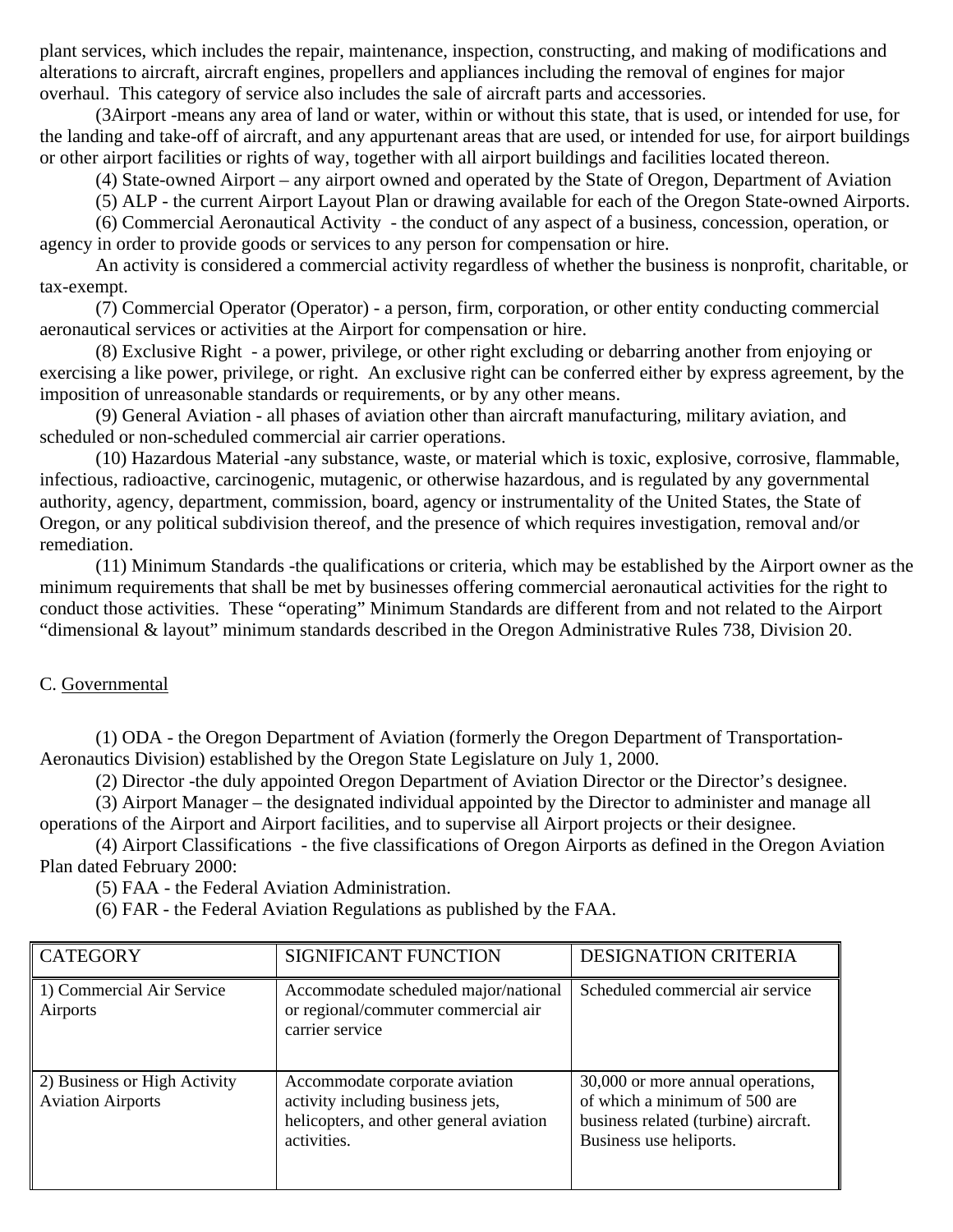plant services, which includes the repair, maintenance, inspection, constructing, and making of modifications and alterations to aircraft, aircraft engines, propellers and appliances including the removal of engines for major overhaul. This category of service also includes the sale of aircraft parts and accessories.

(3Airport -means any area of land or water, within or without this state, that is used, or intended for use, for the landing and take-off of aircraft, and any appurtenant areas that are used, or intended for use, for airport buildings or other airport facilities or rights of way, together with all airport buildings and facilities located thereon.

(4) State-owned Airport – any airport owned and operated by the State of Oregon, Department of Aviation

(5) ALP - the current Airport Layout Plan or drawing available for each of the Oregon State-owned Airports.

(6) Commercial Aeronautical Activity - the conduct of any aspect of a business, concession, operation, or agency in order to provide goods or services to any person for compensation or hire.

An activity is considered a commercial activity regardless of whether the business is nonprofit, charitable, or tax-exempt.

(7) Commercial Operator (Operator) - a person, firm, corporation, or other entity conducting commercial aeronautical services or activities at the Airport for compensation or hire.

(8) Exclusive Right - a power, privilege, or other right excluding or debarring another from enjoying or exercising a like power, privilege, or right. An exclusive right can be conferred either by express agreement, by the imposition of unreasonable standards or requirements, or by any other means.

(9) General Aviation - all phases of aviation other than aircraft manufacturing, military aviation, and scheduled or non-scheduled commercial air carrier operations.

(10) Hazardous Material -any substance, waste, or material which is toxic, explosive, corrosive, flammable, infectious, radioactive, carcinogenic, mutagenic, or otherwise hazardous, and is regulated by any governmental authority, agency, department, commission, board, agency or instrumentality of the United States, the State of Oregon, or any political subdivision thereof, and the presence of which requires investigation, removal and/or remediation.

(11) Minimum Standards -the qualifications or criteria, which may be established by the Airport owner as the minimum requirements that shall be met by businesses offering commercial aeronautical activities for the right to conduct those activities. These "operating" Minimum Standards are different from and not related to the Airport "dimensional & layout" minimum standards described in the Oregon Administrative Rules 738, Division 20.

## C. Governmental

(1) ODA - the Oregon Department of Aviation (formerly the Oregon Department of Transportation-Aeronautics Division) established by the Oregon State Legislature on July 1, 2000.

(2) Director -the duly appointed Oregon Department of Aviation Director or the Director's designee.

(3) Airport Manager – the designated individual appointed by the Director to administer and manage all operations of the Airport and Airport facilities, and to supervise all Airport projects or their designee.

(4) Airport Classifications - the five classifications of Oregon Airports as defined in the Oregon Aviation Plan dated February 2000:

(5) FAA - the Federal Aviation Administration.

(6) FAR - the Federal Aviation Regulations as published by the FAA.

| CATEGORY                                                 | <b>SIGNIFICANT FUNCTION</b>                                                                                                   | <b>DESIGNATION CRITERIA</b>                                                                                                           |
|----------------------------------------------------------|-------------------------------------------------------------------------------------------------------------------------------|---------------------------------------------------------------------------------------------------------------------------------------|
| 1) Commercial Air Service<br>Airports                    | Accommodate scheduled major/national<br>or regional/commuter commercial air<br>carrier service                                | Scheduled commercial air service                                                                                                      |
| 2) Business or High Activity<br><b>Aviation Airports</b> | Accommodate corporate aviation<br>activity including business jets,<br>helicopters, and other general aviation<br>activities. | 30,000 or more annual operations,<br>of which a minimum of 500 are<br>business related (turbine) aircraft.<br>Business use heliports. |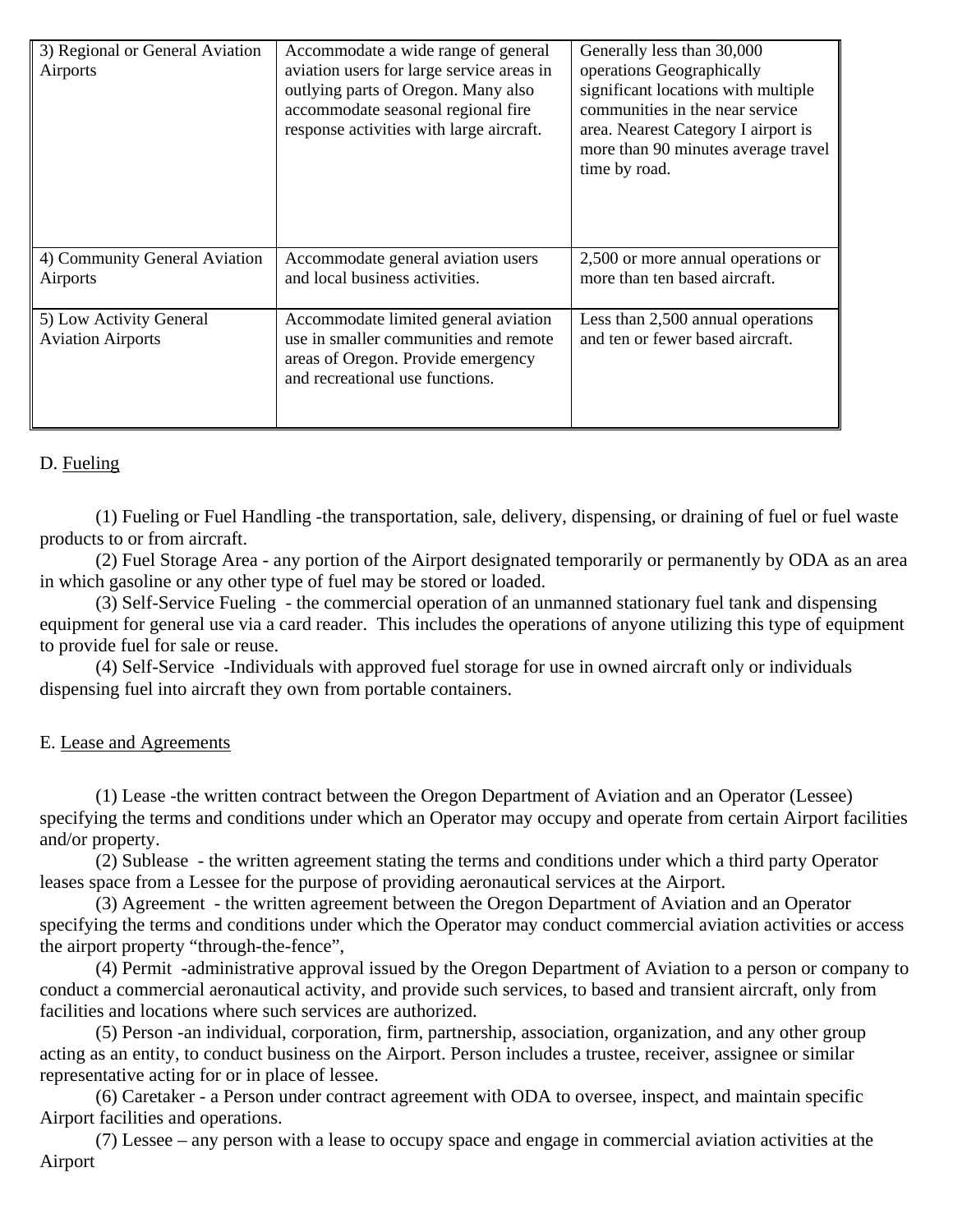| 3) Regional or General Aviation<br>Airports         | Accommodate a wide range of general<br>aviation users for large service areas in<br>outlying parts of Oregon. Many also<br>accommodate seasonal regional fire<br>response activities with large aircraft. | Generally less than 30,000<br>operations Geographically<br>significant locations with multiple<br>communities in the near service<br>area. Nearest Category I airport is<br>more than 90 minutes average travel<br>time by road. |
|-----------------------------------------------------|-----------------------------------------------------------------------------------------------------------------------------------------------------------------------------------------------------------|----------------------------------------------------------------------------------------------------------------------------------------------------------------------------------------------------------------------------------|
| 4) Community General Aviation<br>Airports           | Accommodate general aviation users<br>and local business activities.                                                                                                                                      | 2,500 or more annual operations or<br>more than ten based aircraft.                                                                                                                                                              |
| 5) Low Activity General<br><b>Aviation Airports</b> | Accommodate limited general aviation<br>use in smaller communities and remote<br>areas of Oregon. Provide emergency<br>and recreational use functions.                                                    | Less than 2,500 annual operations<br>and ten or fewer based aircraft.                                                                                                                                                            |

## D. Fueling

(1) Fueling or Fuel Handling -the transportation, sale, delivery, dispensing, or draining of fuel or fuel waste products to or from aircraft.

(2) Fuel Storage Area - any portion of the Airport designated temporarily or permanently by ODA as an area in which gasoline or any other type of fuel may be stored or loaded.

(3) Self-Service Fueling - the commercial operation of an unmanned stationary fuel tank and dispensing equipment for general use via a card reader. This includes the operations of anyone utilizing this type of equipment to provide fuel for sale or reuse.

(4) Self-Service -Individuals with approved fuel storage for use in owned aircraft only or individuals dispensing fuel into aircraft they own from portable containers.

## E. Lease and Agreements

(1) Lease -the written contract between the Oregon Department of Aviation and an Operator (Lessee) specifying the terms and conditions under which an Operator may occupy and operate from certain Airport facilities and/or property.

(2) Sublease - the written agreement stating the terms and conditions under which a third party Operator leases space from a Lessee for the purpose of providing aeronautical services at the Airport.

(3) Agreement - the written agreement between the Oregon Department of Aviation and an Operator specifying the terms and conditions under which the Operator may conduct commercial aviation activities or access the airport property "through-the-fence",

(4) Permit -administrative approval issued by the Oregon Department of Aviation to a person or company to conduct a commercial aeronautical activity, and provide such services, to based and transient aircraft, only from facilities and locations where such services are authorized.

(5) Person -an individual, corporation, firm, partnership, association, organization, and any other group acting as an entity, to conduct business on the Airport. Person includes a trustee, receiver, assignee or similar representative acting for or in place of lessee.

(6) Caretaker - a Person under contract agreement with ODA to oversee, inspect, and maintain specific Airport facilities and operations.

(7) Lessee – any person with a lease to occupy space and engage in commercial aviation activities at the Airport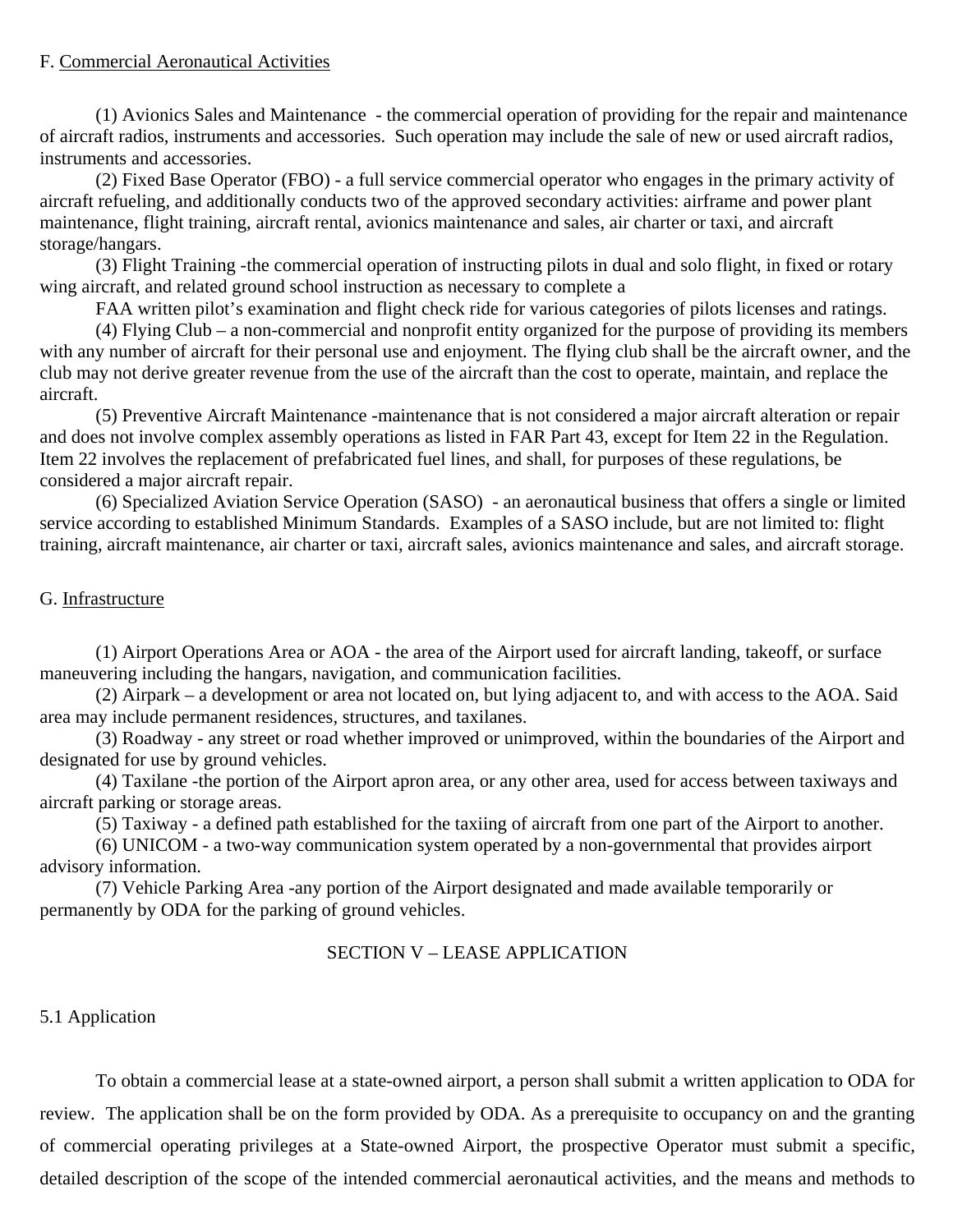## F. Commercial Aeronautical Activities

(1) Avionics Sales and Maintenance - the commercial operation of providing for the repair and maintenance of aircraft radios, instruments and accessories. Such operation may include the sale of new or used aircraft radios, instruments and accessories.

(2) Fixed Base Operator (FBO) - a full service commercial operator who engages in the primary activity of aircraft refueling, and additionally conducts two of the approved secondary activities: airframe and power plant maintenance, flight training, aircraft rental, avionics maintenance and sales, air charter or taxi, and aircraft storage/hangars.

(3) Flight Training -the commercial operation of instructing pilots in dual and solo flight, in fixed or rotary wing aircraft, and related ground school instruction as necessary to complete a

FAA written pilot's examination and flight check ride for various categories of pilots licenses and ratings.

(4) Flying Club – a non-commercial and nonprofit entity organized for the purpose of providing its members with any number of aircraft for their personal use and enjoyment. The flying club shall be the aircraft owner, and the club may not derive greater revenue from the use of the aircraft than the cost to operate, maintain, and replace the aircraft.

(5) Preventive Aircraft Maintenance -maintenance that is not considered a major aircraft alteration or repair and does not involve complex assembly operations as listed in FAR Part 43, except for Item 22 in the Regulation. Item 22 involves the replacement of prefabricated fuel lines, and shall, for purposes of these regulations, be considered a major aircraft repair.

(6) Specialized Aviation Service Operation (SASO) - an aeronautical business that offers a single or limited service according to established Minimum Standards. Examples of a SASO include, but are not limited to: flight training, aircraft maintenance, air charter or taxi, aircraft sales, avionics maintenance and sales, and aircraft storage.

## G. Infrastructure

(1) Airport Operations Area or AOA - the area of the Airport used for aircraft landing, takeoff, or surface maneuvering including the hangars, navigation, and communication facilities.

(2) Airpark – a development or area not located on, but lying adjacent to, and with access to the AOA. Said area may include permanent residences, structures, and taxilanes.

(3) Roadway - any street or road whether improved or unimproved, within the boundaries of the Airport and designated for use by ground vehicles.

(4) Taxilane -the portion of the Airport apron area, or any other area, used for access between taxiways and aircraft parking or storage areas.

(5) Taxiway - a defined path established for the taxiing of aircraft from one part of the Airport to another.

(6) UNICOM - a two-way communication system operated by a non-governmental that provides airport advisory information.

(7) Vehicle Parking Area -any portion of the Airport designated and made available temporarily or permanently by ODA for the parking of ground vehicles.

## SECTION V – LEASE APPLICATION

## 5.1 Application

To obtain a commercial lease at a state-owned airport, a person shall submit a written application to ODA for review. The application shall be on the form provided by ODA. As a prerequisite to occupancy on and the granting of commercial operating privileges at a State-owned Airport, the prospective Operator must submit a specific, detailed description of the scope of the intended commercial aeronautical activities, and the means and methods to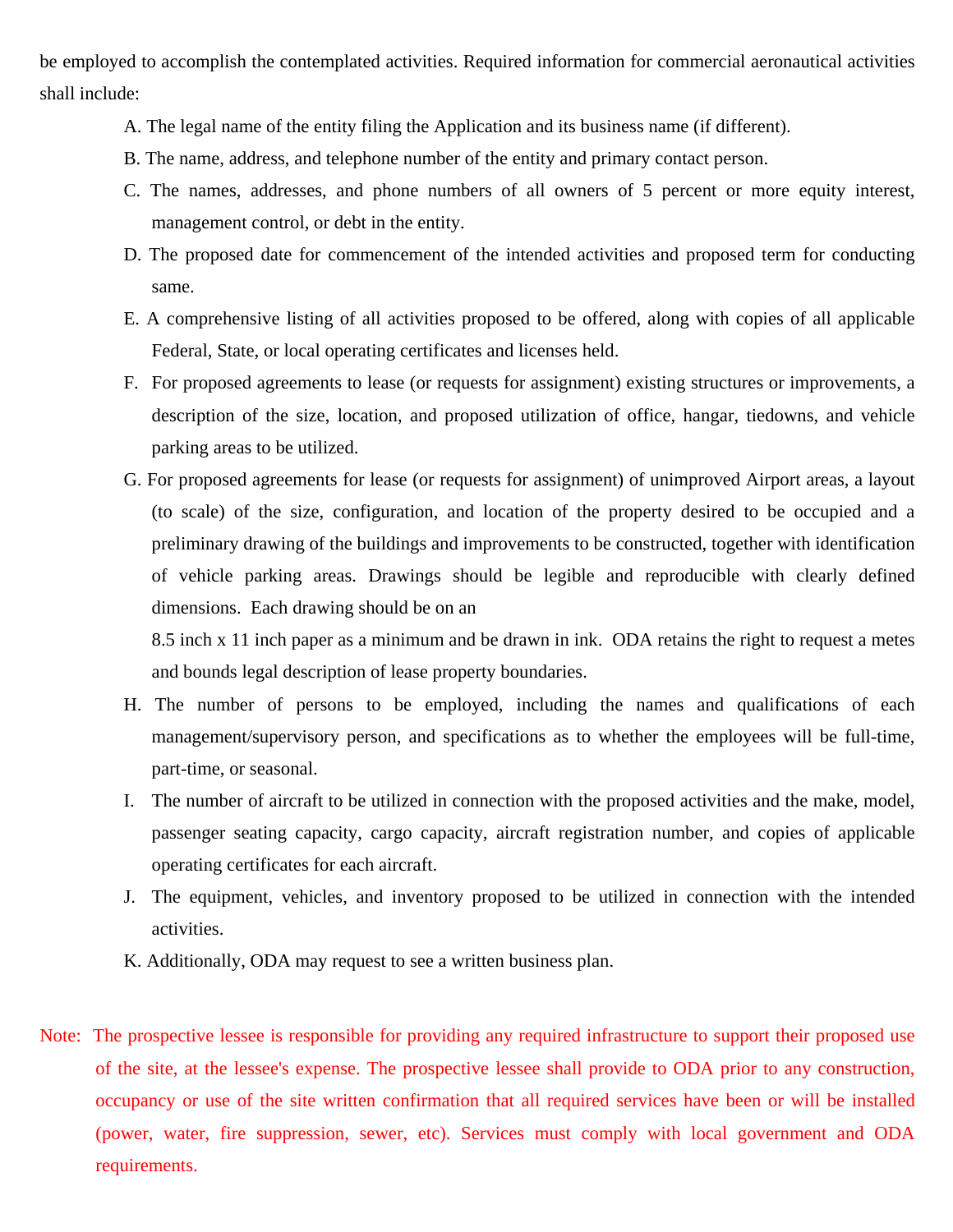be employed to accomplish the contemplated activities. Required information for commercial aeronautical activities shall include:

- A. The legal name of the entity filing the Application and its business name (if different).
- B. The name, address, and telephone number of the entity and primary contact person.
- C. The names, addresses, and phone numbers of all owners of 5 percent or more equity interest, management control, or debt in the entity.
- D. The proposed date for commencement of the intended activities and proposed term for conducting same.
- E. A comprehensive listing of all activities proposed to be offered, along with copies of all applicable Federal, State, or local operating certificates and licenses held.
- F. For proposed agreements to lease (or requests for assignment) existing structures or improvements, a description of the size, location, and proposed utilization of office, hangar, tiedowns, and vehicle parking areas to be utilized.
- G. For proposed agreements for lease (or requests for assignment) of unimproved Airport areas, a layout (to scale) of the size, configuration, and location of the property desired to be occupied and a preliminary drawing of the buildings and improvements to be constructed, together with identification of vehicle parking areas. Drawings should be legible and reproducible with clearly defined dimensions. Each drawing should be on an

8.5 inch x 11 inch paper as a minimum and be drawn in ink. ODA retains the right to request a metes and bounds legal description of lease property boundaries.

- H. The number of persons to be employed, including the names and qualifications of each management/supervisory person, and specifications as to whether the employees will be full-time, part-time, or seasonal.
- I. The number of aircraft to be utilized in connection with the proposed activities and the make, model, passenger seating capacity, cargo capacity, aircraft registration number, and copies of applicable operating certificates for each aircraft.
- J. The equipment, vehicles, and inventory proposed to be utilized in connection with the intended activities.
- K. Additionally, ODA may request to see a written business plan.
- Note: The prospective lessee is responsible for providing any required infrastructure to support their proposed use of the site, at the lessee's expense. The prospective lessee shall provide to ODA prior to any construction, occupancy or use of the site written confirmation that all required services have been or will be installed (power, water, fire suppression, sewer, etc). Services must comply with local government and ODA requirements.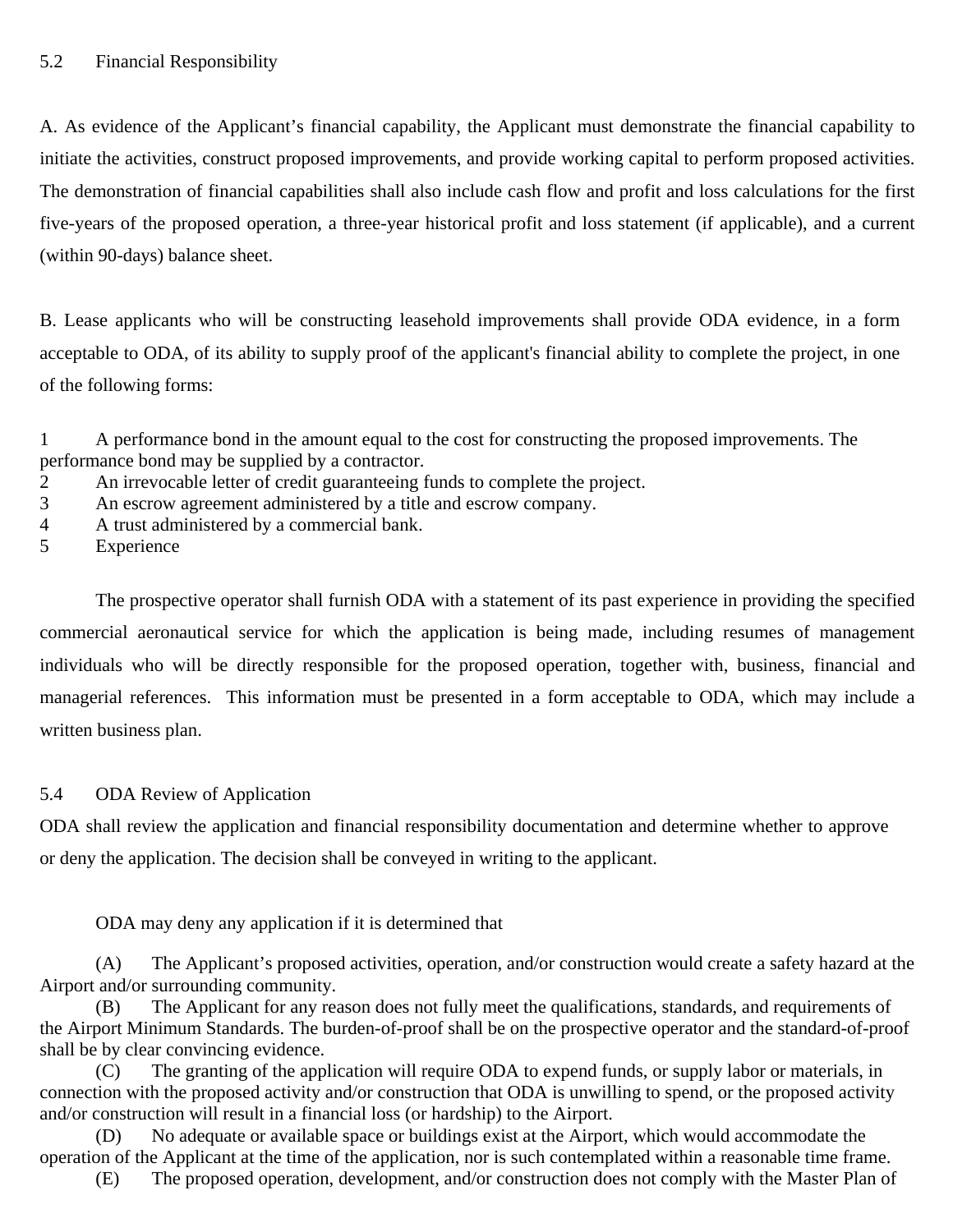A. As evidence of the Applicant's financial capability, the Applicant must demonstrate the financial capability to initiate the activities, construct proposed improvements, and provide working capital to perform proposed activities. The demonstration of financial capabilities shall also include cash flow and profit and loss calculations for the first five-years of the proposed operation, a three-year historical profit and loss statement (if applicable), and a current (within 90-days) balance sheet.

B. Lease applicants who will be constructing leasehold improvements shall provide ODA evidence, in a form acceptable to ODA, of its ability to supply proof of the applicant's financial ability to complete the project, in one of the following forms:

1 A performance bond in the amount equal to the cost for constructing the proposed improvements. The performance bond may be supplied by a contractor.

- 2 An irrevocable letter of credit guaranteeing funds to complete the project.
- 3 An escrow agreement administered by a title and escrow company.
- 4 A trust administered by a commercial bank.
- 5 Experience

The prospective operator shall furnish ODA with a statement of its past experience in providing the specified commercial aeronautical service for which the application is being made, including resumes of management individuals who will be directly responsible for the proposed operation, together with, business, financial and managerial references. This information must be presented in a form acceptable to ODA, which may include a written business plan.

## 5.4 ODA Review of Application

ODA shall review the application and financial responsibility documentation and determine whether to approve or deny the application. The decision shall be conveyed in writing to the applicant.

ODA may deny any application if it is determined that

(A) The Applicant's proposed activities, operation, and/or construction would create a safety hazard at the Airport and/or surrounding community.

(B) The Applicant for any reason does not fully meet the qualifications, standards, and requirements of the Airport Minimum Standards. The burden-of-proof shall be on the prospective operator and the standard-of-proof shall be by clear convincing evidence.

(C) The granting of the application will require ODA to expend funds, or supply labor or materials, in connection with the proposed activity and/or construction that ODA is unwilling to spend, or the proposed activity and/or construction will result in a financial loss (or hardship) to the Airport.

(D) No adequate or available space or buildings exist at the Airport, which would accommodate the operation of the Applicant at the time of the application, nor is such contemplated within a reasonable time frame.

(E) The proposed operation, development, and/or construction does not comply with the Master Plan of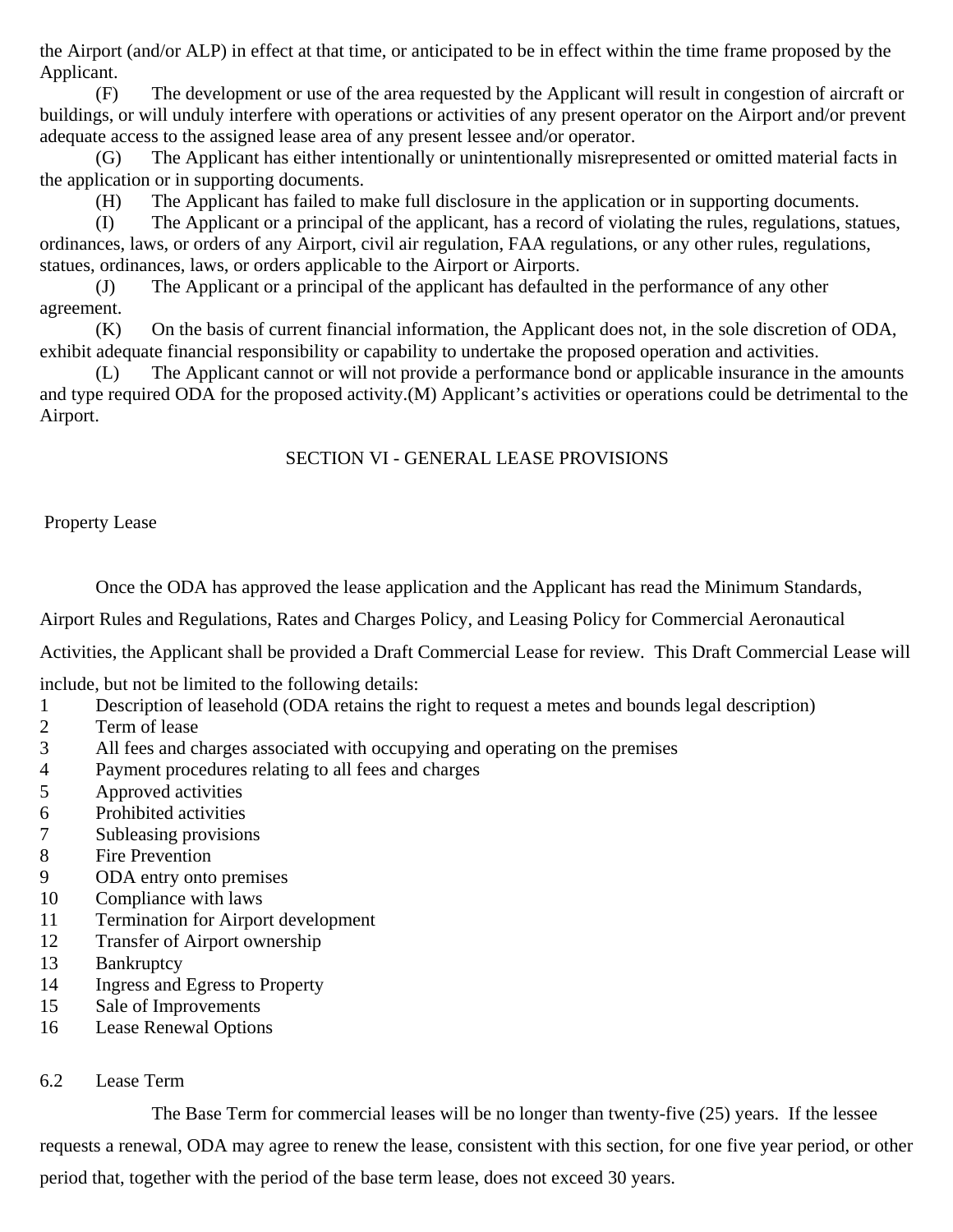the Airport (and/or ALP) in effect at that time, or anticipated to be in effect within the time frame proposed by the Applicant.

(F) The development or use of the area requested by the Applicant will result in congestion of aircraft or buildings, or will unduly interfere with operations or activities of any present operator on the Airport and/or prevent adequate access to the assigned lease area of any present lessee and/or operator.

The Applicant has either intentionally or unintentionally misrepresented or omitted material facts in the application or in supporting documents.

(H) The Applicant has failed to make full disclosure in the application or in supporting documents.

(I) The Applicant or a principal of the applicant, has a record of violating the rules, regulations, statues, ordinances, laws, or orders of any Airport, civil air regulation, FAA regulations, or any other rules, regulations, statues, ordinances, laws, or orders applicable to the Airport or Airports.

(J) The Applicant or a principal of the applicant has defaulted in the performance of any other agreement.

(K) On the basis of current financial information, the Applicant does not, in the sole discretion of ODA, exhibit adequate financial responsibility or capability to undertake the proposed operation and activities.

(L) The Applicant cannot or will not provide a performance bond or applicable insurance in the amounts and type required ODA for the proposed activity.(M) Applicant's activities or operations could be detrimental to the Airport.

## SECTION VI - GENERAL LEASE PROVISIONS

Property Lease

Once the ODA has approved the lease application and the Applicant has read the Minimum Standards,

Airport Rules and Regulations, Rates and Charges Policy, and Leasing Policy for Commercial Aeronautical

Activities, the Applicant shall be provided a Draft Commercial Lease for review. This Draft Commercial Lease will

include, but not be limited to the following details:

- 1 Description of leasehold (ODA retains the right to request a metes and bounds legal description)
- 2 Term of lease
- 3 All fees and charges associated with occupying and operating on the premises
- 4 Payment procedures relating to all fees and charges
- 5 Approved activities
- 6 Prohibited activities
- 7 Subleasing provisions
- 8 Fire Prevention
- 9 ODA entry onto premises
- 10 Compliance with laws
- 11 Termination for Airport development
- 12 Transfer of Airport ownership
- 13 Bankruptcy
- 14 Ingress and Egress to Property
- 15 Sale of Improvements
- 16 Lease Renewal Options

## 6.2 Lease Term

The Base Term for commercial leases will be no longer than twenty-five (25) years. If the lessee requests a renewal, ODA may agree to renew the lease, consistent with this section, for one five year period, or other period that, together with the period of the base term lease, does not exceed 30 years.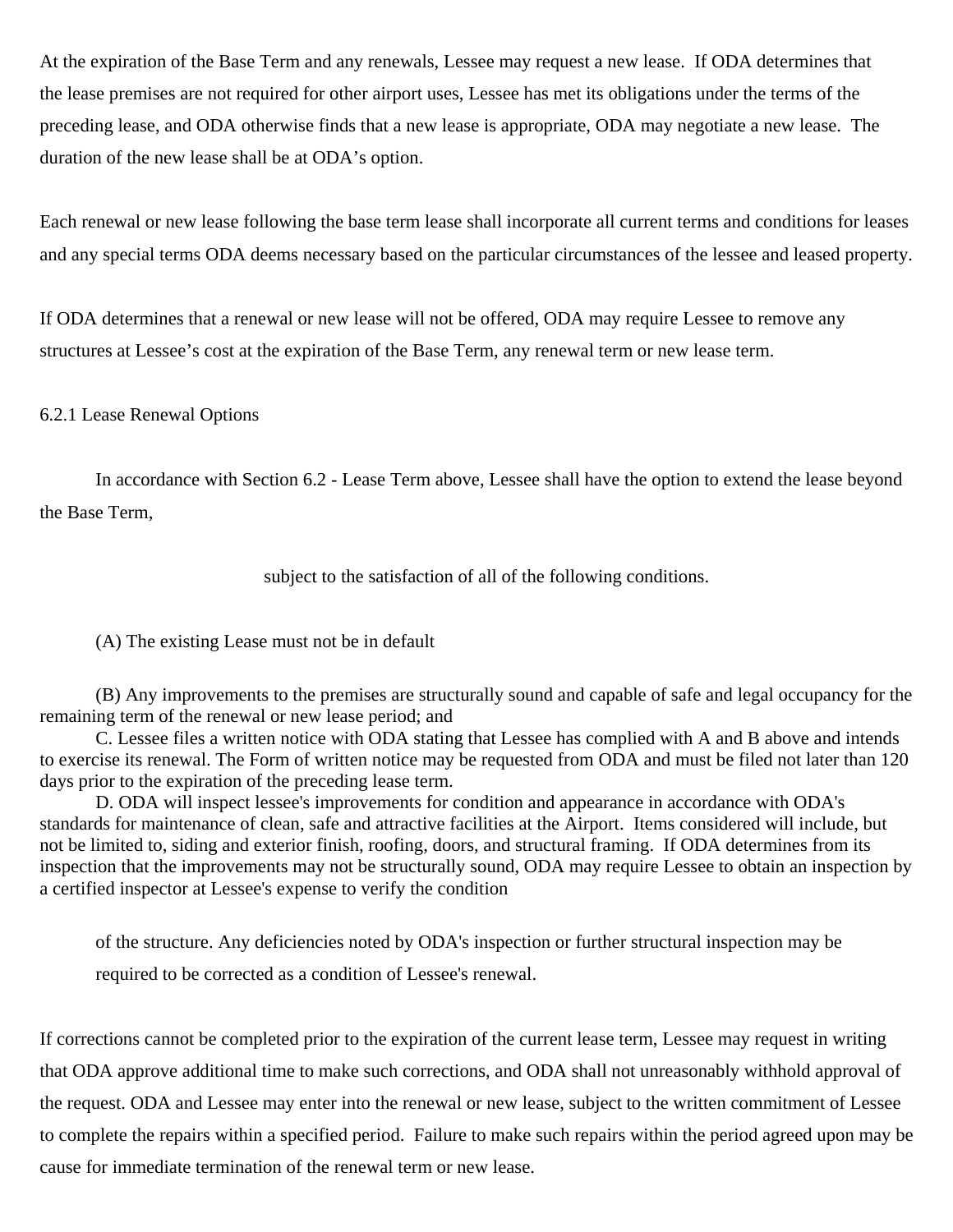At the expiration of the Base Term and any renewals, Lessee may request a new lease. If ODA determines that the lease premises are not required for other airport uses, Lessee has met its obligations under the terms of the preceding lease, and ODA otherwise finds that a new lease is appropriate, ODA may negotiate a new lease. The duration of the new lease shall be at ODA's option.

Each renewal or new lease following the base term lease shall incorporate all current terms and conditions for leases and any special terms ODA deems necessary based on the particular circumstances of the lessee and leased property.

If ODA determines that a renewal or new lease will not be offered, ODA may require Lessee to remove any structures at Lessee's cost at the expiration of the Base Term, any renewal term or new lease term.

### 6.2.1 Lease Renewal Options

In accordance with Section 6.2 - Lease Term above, Lessee shall have the option to extend the lease beyond the Base Term,

subject to the satisfaction of all of the following conditions.

(A) The existing Lease must not be in default

(B) Any improvements to the premises are structurally sound and capable of safe and legal occupancy for the remaining term of the renewal or new lease period; and

C. Lessee files a written notice with ODA stating that Lessee has complied with A and B above and intends to exercise its renewal. The Form of written notice may be requested from ODA and must be filed not later than 120 days prior to the expiration of the preceding lease term.

D. ODA will inspect lessee's improvements for condition and appearance in accordance with ODA's standards for maintenance of clean, safe and attractive facilities at the Airport. Items considered will include, but not be limited to, siding and exterior finish, roofing, doors, and structural framing. If ODA determines from its inspection that the improvements may not be structurally sound, ODA may require Lessee to obtain an inspection by a certified inspector at Lessee's expense to verify the condition

of the structure. Any deficiencies noted by ODA's inspection or further structural inspection may be required to be corrected as a condition of Lessee's renewal.

If corrections cannot be completed prior to the expiration of the current lease term, Lessee may request in writing that ODA approve additional time to make such corrections, and ODA shall not unreasonably withhold approval of the request. ODA and Lessee may enter into the renewal or new lease, subject to the written commitment of Lessee to complete the repairs within a specified period. Failure to make such repairs within the period agreed upon may be cause for immediate termination of the renewal term or new lease.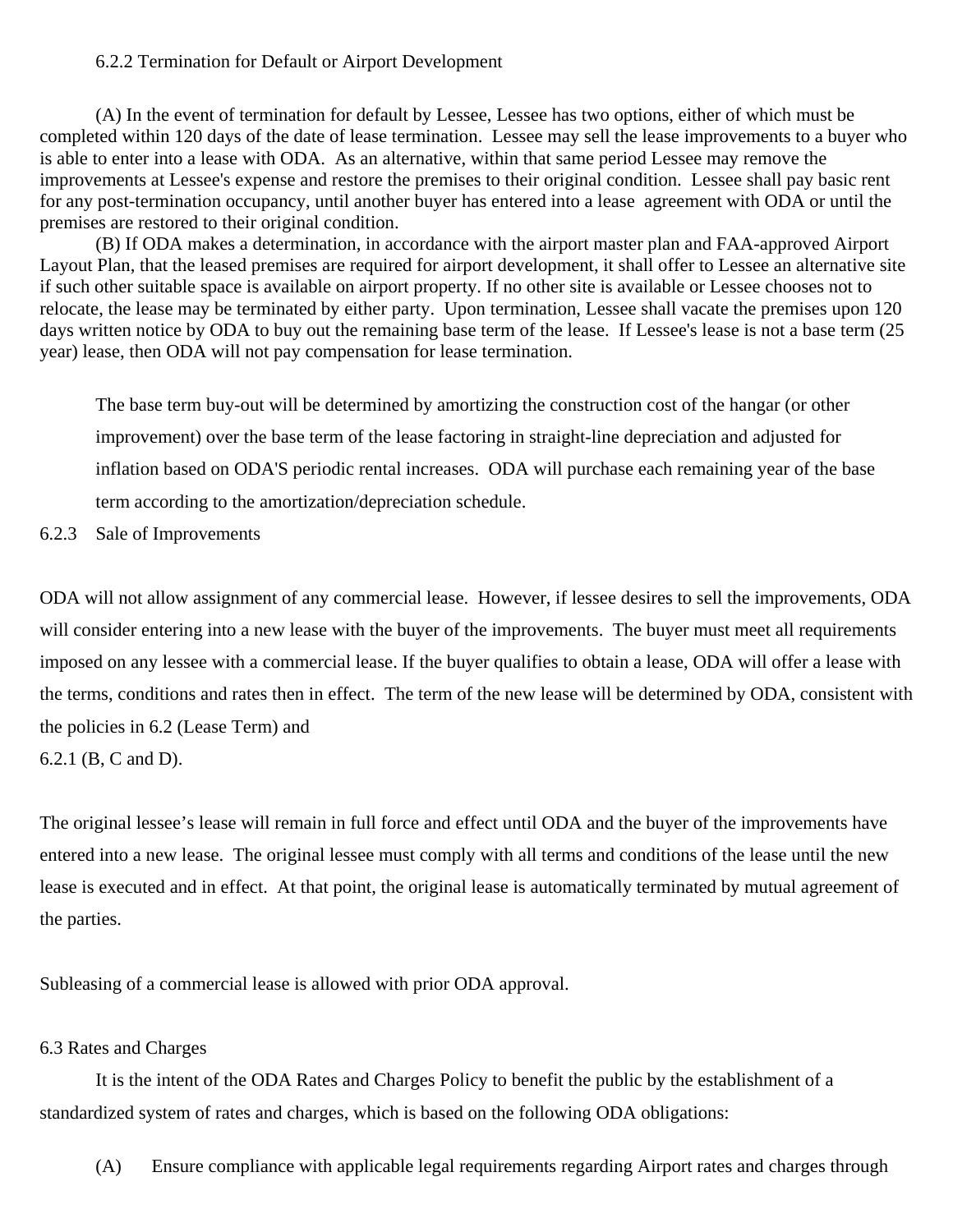#### 6.2.2 Termination for Default or Airport Development

(A) In the event of termination for default by Lessee, Lessee has two options, either of which must be completed within 120 days of the date of lease termination. Lessee may sell the lease improvements to a buyer who is able to enter into a lease with ODA. As an alternative, within that same period Lessee may remove the improvements at Lessee's expense and restore the premises to their original condition. Lessee shall pay basic rent for any post-termination occupancy, until another buyer has entered into a lease agreement with ODA or until the premises are restored to their original condition.

(B) If ODA makes a determination, in accordance with the airport master plan and FAA-approved Airport Layout Plan, that the leased premises are required for airport development, it shall offer to Lessee an alternative site if such other suitable space is available on airport property. If no other site is available or Lessee chooses not to relocate, the lease may be terminated by either party. Upon termination, Lessee shall vacate the premises upon 120 days written notice by ODA to buy out the remaining base term of the lease. If Lessee's lease is not a base term (25) year) lease, then ODA will not pay compensation for lease termination.

The base term buy-out will be determined by amortizing the construction cost of the hangar (or other improvement) over the base term of the lease factoring in straight-line depreciation and adjusted for inflation based on ODA'S periodic rental increases. ODA will purchase each remaining year of the base term according to the amortization/depreciation schedule.

### 6.2.3 Sale of Improvements

ODA will not allow assignment of any commercial lease. However, if lessee desires to sell the improvements, ODA will consider entering into a new lease with the buyer of the improvements. The buyer must meet all requirements imposed on any lessee with a commercial lease. If the buyer qualifies to obtain a lease, ODA will offer a lease with the terms, conditions and rates then in effect. The term of the new lease will be determined by ODA, consistent with the policies in 6.2 (Lease Term) and 6.2.1 (B, C and D).

The original lessee's lease will remain in full force and effect until ODA and the buyer of the improvements have entered into a new lease. The original lessee must comply with all terms and conditions of the lease until the new lease is executed and in effect. At that point, the original lease is automatically terminated by mutual agreement of the parties.

Subleasing of a commercial lease is allowed with prior ODA approval.

#### 6.3 Rates and Charges

It is the intent of the ODA Rates and Charges Policy to benefit the public by the establishment of a standardized system of rates and charges, which is based on the following ODA obligations:

(A) Ensure compliance with applicable legal requirements regarding Airport rates and charges through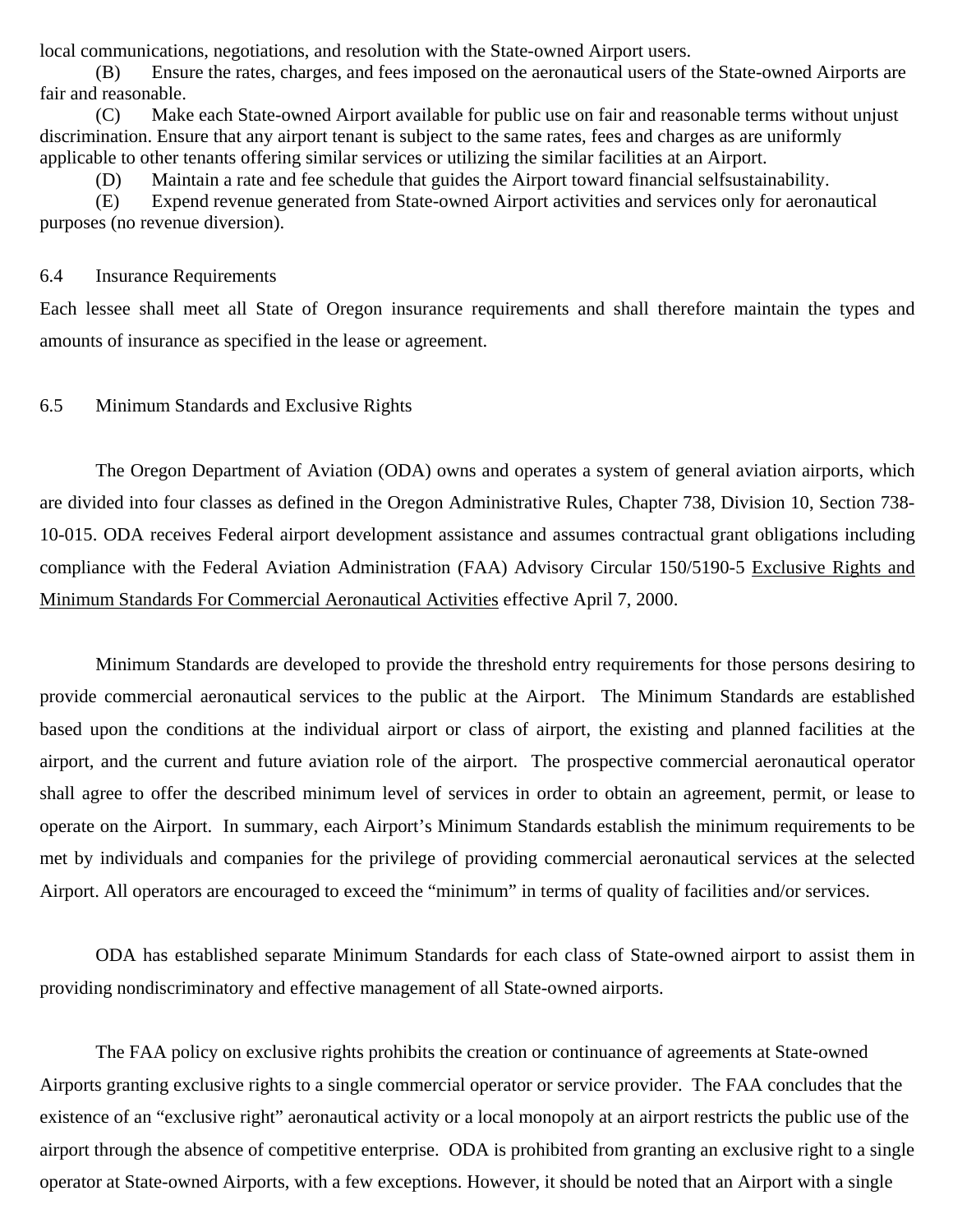local communications, negotiations, and resolution with the State-owned Airport users.

(B) Ensure the rates, charges, and fees imposed on the aeronautical users of the State-owned Airports are fair and reasonable.

(C) Make each State-owned Airport available for public use on fair and reasonable terms without unjust discrimination. Ensure that any airport tenant is subject to the same rates, fees and charges as are uniformly applicable to other tenants offering similar services or utilizing the similar facilities at an Airport.

(D) Maintain a rate and fee schedule that guides the Airport toward financial selfsustainability.

(E) Expend revenue generated from State-owned Airport activities and services only for aeronautical purposes (no revenue diversion).

#### 6.4 Insurance Requirements

Each lessee shall meet all State of Oregon insurance requirements and shall therefore maintain the types and amounts of insurance as specified in the lease or agreement.

## 6.5 Minimum Standards and Exclusive Rights

The Oregon Department of Aviation (ODA) owns and operates a system of general aviation airports, which are divided into four classes as defined in the Oregon Administrative Rules, Chapter 738, Division 10, Section 738- 10-015. ODA receives Federal airport development assistance and assumes contractual grant obligations including compliance with the Federal Aviation Administration (FAA) Advisory Circular 150/5190-5 Exclusive Rights and Minimum Standards For Commercial Aeronautical Activities effective April 7, 2000.

Minimum Standards are developed to provide the threshold entry requirements for those persons desiring to provide commercial aeronautical services to the public at the Airport. The Minimum Standards are established based upon the conditions at the individual airport or class of airport, the existing and planned facilities at the airport, and the current and future aviation role of the airport. The prospective commercial aeronautical operator shall agree to offer the described minimum level of services in order to obtain an agreement, permit, or lease to operate on the Airport. In summary, each Airport's Minimum Standards establish the minimum requirements to be met by individuals and companies for the privilege of providing commercial aeronautical services at the selected Airport. All operators are encouraged to exceed the "minimum" in terms of quality of facilities and/or services.

ODA has established separate Minimum Standards for each class of State-owned airport to assist them in providing nondiscriminatory and effective management of all State-owned airports.

The FAA policy on exclusive rights prohibits the creation or continuance of agreements at State-owned Airports granting exclusive rights to a single commercial operator or service provider. The FAA concludes that the existence of an "exclusive right" aeronautical activity or a local monopoly at an airport restricts the public use of the airport through the absence of competitive enterprise. ODA is prohibited from granting an exclusive right to a single operator at State-owned Airports, with a few exceptions. However, it should be noted that an Airport with a single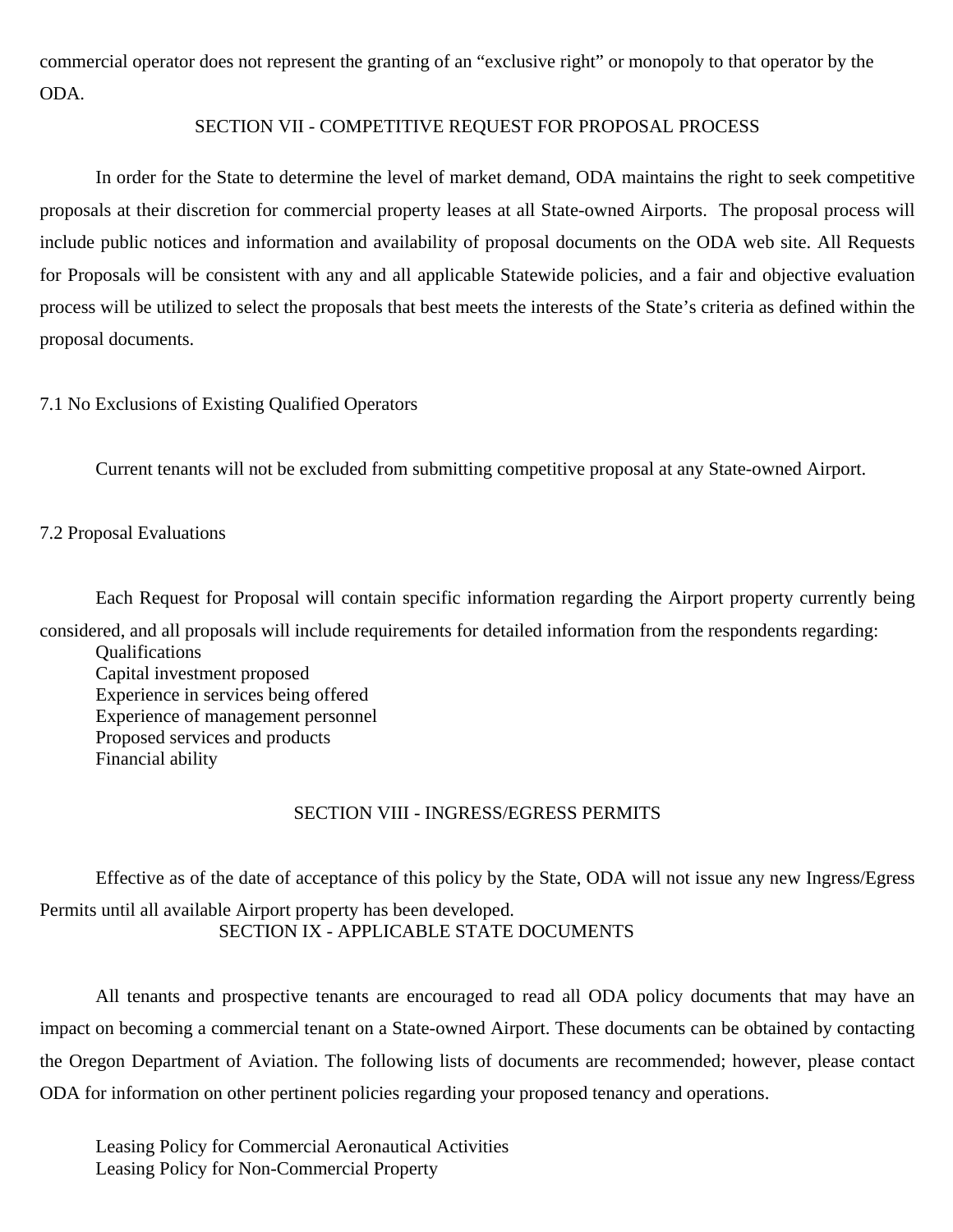commercial operator does not represent the granting of an "exclusive right" or monopoly to that operator by the ODA.

#### SECTION VII - COMPETITIVE REQUEST FOR PROPOSAL PROCESS

In order for the State to determine the level of market demand, ODA maintains the right to seek competitive proposals at their discretion for commercial property leases at all State-owned Airports. The proposal process will include public notices and information and availability of proposal documents on the ODA web site. All Requests for Proposals will be consistent with any and all applicable Statewide policies, and a fair and objective evaluation process will be utilized to select the proposals that best meets the interests of the State's criteria as defined within the proposal documents.

### 7.1 No Exclusions of Existing Qualified Operators

Current tenants will not be excluded from submitting competitive proposal at any State-owned Airport.

### 7.2 Proposal Evaluations

Each Request for Proposal will contain specific information regarding the Airport property currently being considered, and all proposals will include requirements for detailed information from the respondents regarding:

Qualifications Capital investment proposed Experience in services being offered Experience of management personnel Proposed services and products Financial ability

## SECTION VIII - INGRESS/EGRESS PERMITS

Effective as of the date of acceptance of this policy by the State, ODA will not issue any new Ingress/Egress Permits until all available Airport property has been developed. SECTION IX - APPLICABLE STATE DOCUMENTS

All tenants and prospective tenants are encouraged to read all ODA policy documents that may have an impact on becoming a commercial tenant on a State-owned Airport. These documents can be obtained by contacting the Oregon Department of Aviation. The following lists of documents are recommended; however, please contact ODA for information on other pertinent policies regarding your proposed tenancy and operations.

Leasing Policy for Commercial Aeronautical Activities Leasing Policy for Non-Commercial Property